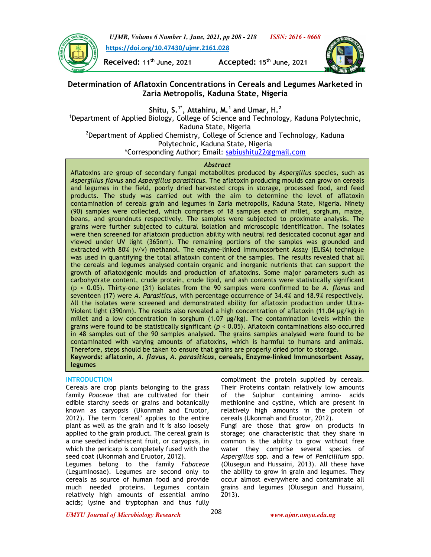

*UJMR, Volume 6 Number 1, June, 2021, pp 208 - 218 ISSN: 2616 - 0668*  **https://doi.org/10.47430/ujmr.2161.028**

**Received: 11th June, 2021 Accepted: 15th June, 2021** 



# **Determination of Aflatoxin Concentrations in Cereals and Legumes Marketed in Zaria Metropolis, Kaduna State, Nigeria**

**Shitu, S.1\*, Attahiru, M.<sup>1</sup> and Umar, H.<sup>2</sup>**

<sup>1</sup>Department of Applied Biology, College of Science and Technology, Kaduna Polytechnic, Kaduna State, Nigeria

 $^{2}$ Department of Applied Chemistry, College of Science and Technology, Kaduna Polytechnic, Kaduna State, Nigeria \*Corresponding Author; Email: sabiushitu22@gmail.com

# *Abstract*

Aflatoxins are group of secondary fungal metabolites produced by *Aspergillus* species, such as *Aspergillus flavus* and *Aspergillus parasiticus.* The aflatoxin producing moulds can grow on cereals and legumes in the field, poorly dried harvested crops in storage, processed food, and feed products. The study was carried out with the aim to determine the level of aflatoxin contamination of cereals grain and legumes in Zaria metropolis, Kaduna State, Nigeria. Ninety (90) samples were collected, which comprises of 18 samples each of millet, sorghum, maize, beans, and groundnuts respectively. The samples were subjected to proximate analysis. The grains were further subjected to cultural isolation and microscopic identification. The isolates were then screened for aflatoxin production ability with neutral red desiccated coconut agar and viewed under UV light (365nm). The remaining portions of the samples was grounded and extracted with 80% (v/v) methanol. The enzyme-linked Immunosorbent Assay (ELISA) technique was used in quantifying the total aflatoxin content of the samples. The results revealed that all the cereals and legumes analysed contain organic and inorganic nutrients that can support the growth of aflatoxigenic moulds and production of aflatoxins. Some major parameters such as carbohydrate content, crude protein, crude lipid, and ash contents were statistically significant (p < 0.05). Thirty-one (31) isolates from the 90 samples were confirmed to be *A. flavus* and seventeen (17) were *A. Parasiticus*, with percentage occurrence of 34.4% and 18.9% respectively. All the isolates were screened and demonstrated ability for aflatoxin production under Ultra-Violent light (390nm). The results also revealed a high concentration of aflatoxin (11.04 µg/kg) in millet and a low concentration in sorghum (1.07 µg/kg). The contamination levels within the grains were found to be statistically significant (*p <* 0.05). Aflatoxin contaminations also occurred in 48 samples out of the 90 samples analysed. The grains samples analysed were found to be contaminated with varying amounts of aflatoxins, which is harmful to humans and animals. Therefore, steps should be taken to ensure that grains are properly dried prior to storage. **Keywords: aflatoxin,** *A. flavus, A. parasiticus***, cereals, Enzyme-linked Immunosorbent Assay, legumes** 

# **INTRODUCTION**

Cereals are crop plants belonging to the grass family *Poaceae* that are cultivated for their edible starchy seeds or grains and botanically known as caryopsis (Ukonmah and Eruotor, 2012). The term 'cereal' applies to the entire plant as well as the grain and it is also loosely applied to the grain product. The cereal grain is a one seeded indehiscent fruit, or caryopsis, in which the pericarp is completely fused with the seed coat (Ukonmah and Eruotor, 2012).

Legumes belong to the family *Fabaceae* (Leguminosae). Legumes are second only to cereals as source of human food and provide much needed proteins. Legumes contain relatively high amounts of essential amino acids; lysine and tryptophan and thus fully compliment the protein supplied by cereals. Their Proteins contain relatively low amounts of the Sulphur containing amino- acids methionine and cystine, which are present in relatively high amounts in the protein of cereals (Ukonmah and Eruotor, 2012).

Fungi are those that grow on products in storage; one characteristic that they share in common is the ability to grow without free water they comprise several species of *Aspergillus* spp. and a few of *Penicillium* spp. (Olusegun and Hussaini, 2013). All these have the ability to grow in grain and legumes. They occur almost everywhere and contaminate all grains and legumes (Olusegun and Hussaini, 2013).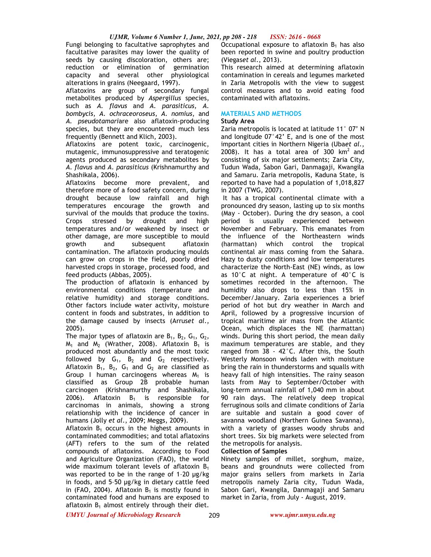Fungi belonging to facultative saprophytes and facultative parasites may lower the quality of seeds by causing discoloration, others are; reduction or elimination of germination capacity and several other physiological alterations in grains (Neegaard, 1997).

Aflatoxins are group of secondary fungal metabolites produced by *Aspergillus* species, such as *A. flavus* and *A. parasiticus, A. bombycis*, *A. ochraceoroseus*, *A. nomius*, and *A. pseudotamari*are also aflatoxin-producing species, but they are encountered much less frequently (Bennett and Klich, 2003).

Aflatoxins are potent toxic, carcinogenic, mutagenic, immunosuppressive and teratogenic agents produced as secondary metabolites by *A*. *flavus* and *A*. *parasiticus* (Krishnamurthy and Shashikala, 2006).

Aflatoxins become more prevalent, and therefore more of a food safety concern, during drought because low rainfall and high temperatures encourage the growth and survival of the moulds that produce the toxins. Crops stressed by drought and high temperatures and/or weakened by insect or other damage, are more susceptible to mould growth and subsequent aflatoxin contamination. The aflatoxin producing moulds can grow on crops in the field, poorly dried harvested crops in storage, processed food, and feed products (Abbas, 2005).

The production of aflatoxin is enhanced by environmental conditions (temperature and relative humidity) and storage conditions. Other factors include water activity, moisture content in foods and substrates, in addition to the damage caused by insects (Arrus*et al*., 2005).

The major types of aflatoxin are  $B_1$ ,  $B_2$ ,  $G_1$ ,  $G_2$ ,  $M_1$  and  $M_2$  (Wrather, 2008). Aflatoxin B<sub>1</sub> is produced most abundantly and the most toxic followed by  $G_1$ ,  $B_2$  and  $G_2$  respectively. Aflatoxin  $B_1$ ,  $B_2$ ,  $G_1$  and  $G_2$  are classified as Group I human carcinogens whereas  $M_1$  is classified as Group 2B probable human carcinogen (Krishnamurthy and Shashikala, 2006). Aflatoxin  $B_1$  is responsible for carcinomas in animals, showing a strong relationship with the incidence of cancer in humans (Jolly *et al*., 2009; Meggs, 2009).

Aflatoxin  $B_1$  occurs in the highest amounts in contaminated commodities; and total aflatoxins (AFT) refers to the sum of the related compounds of aflatoxins. According to Food and Agriculture Organization (FAO), the world wide maximum tolerant levels of aflatoxin  $B_1$ was reported to be in the range of 1-20 µg/kg in foods, and 5–50 µg/kg in dietary cattle feed in (FAO, 2004). Aflatoxin  $B_1$  is mostly found in contaminated food and humans are exposed to aflatoxin  $B_1$  almost entirely through their diet.

Occupational exposure to aflatoxin  $B_1$  has also been reported in swine and poultry production (Viegas*et al*., 2013).

This research aimed at determining aflatoxin contamination in cereals and legumes marketed in Zaria Metropolis with the view to suggest control measures and to avoid eating food contaminated with aflatoxins.

# **MATERIALS AND METHODS**

# **Study Area**

Zaria metropolis is located at latitude 11° 07' N and longitude 07°42' E, and is one of the most important cities in Northern Nigeria (Uba*et al*., 2008). It has a total area of 300  $km^2$  and consisting of six major settlements; Zaria City, Tudun Wada, Sabon Gari, Danmagaji, Kwangila and Samaru. Zaria metropolis, Kaduna State, is reported to have had a population of 1,018,827 in 2007 (TWG, 2007).

 It has a tropical continental climate with a pronounced dry season, lasting up to six months (May - October). During the dry season, a cool period is usually experienced between November and February. This emanates from the influence of the Northeastern winds (harmattan) which control the tropical continental air mass coming from the Sahara. Hazy to dusty conditions and low temperatures characterize the North-East (NE) winds, as low as  $10^{\circ}$ C at night. A temperature of  $40^{\circ}$ C is sometimes recorded in the afternoon. The humidity also drops to less than 15% in December/January. Zaria experiences a brief period of hot but dry weather in March and April, followed by a progressive incursion of tropical maritime air mass from the Atlantic Ocean, which displaces the NE (harmattan) winds. During this short period, the mean daily maximum temperatures are stable, and they ranged from 38 - 42°C. After this, the South Westerly Monsoon winds laden with moisture bring the rain in thunderstorms and squalls with heavy fall of high intensities. The rainy season lasts from May to September/October with long-term annual rainfall of 1,040 mm in about 90 rain days. The relatively deep tropical ferruginous soils and climate conditions of Zaria are suitable and sustain a good cover of savanna woodland (Northern Guinea Savanna), with a variety of grasses woody shrubs and short trees. Six big markets were selected from the metropolis for analysis.

# **Collection of Samples**

Ninety samples of millet, sorghum, maize, beans and groundnuts were collected from major grains sellers from markets in Zaria metropolis namely Zaria city, Tudun Wada, Sabon Gari, Kwangila, Danmagaji and Samaru market in Zaria, from July - August, 2019.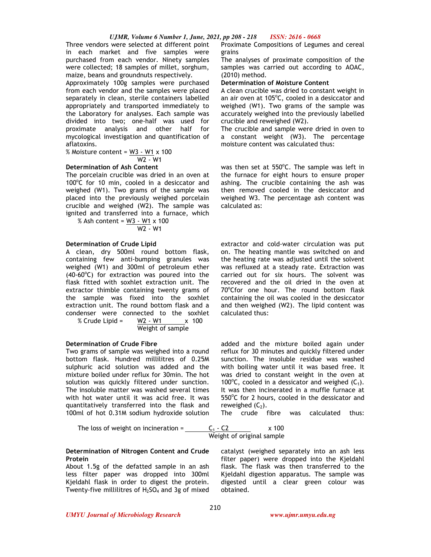Three vendors were selected at different point in each market and five samples were purchased from each vendor. Ninety samples were collected; 18 samples of millet, sorghum, maize, beans and groundnuts respectively.

Approximately 100g samples were purchased from each vendor and the samples were placed separately in clean, sterile containers labelled appropriately and transported immediately to the Laboratory for analyses. Each sample was divided into two; one-half was used for proximate analysis and other half for mycological investigation and quantification of aflatoxins.

% Moisture content = W3 - W1 x 100 W2 - W1

# **Determination of Ash Content**

The porcelain crucible was dried in an oven at 100°C for 10 min, cooled in a desiccator and weighed (W1). Two grams of the sample was placed into the previously weighed porcelain crucible and weighed (W2). The sample was ignited and transferred into a furnace, which

% Ash content = W3 - W1 x 100 W2 - W1

# **Determination of Crude Lipid**

A clean, dry 500ml round bottom flask, containing few anti-bumping granules was weighed (W1) and 300ml of petroleum ether  $(40-60^{\circ}C)$  for extraction was poured into the flask fitted with soxhlet extraction unit. The extractor thimble containing twenty grams of the sample was fixed into the soxhlet extraction unit. The round bottom flask and a condenser were connected to the soxhlet % Crude Lipid =  $W2 - W1$  x 100

Weight of sample

# **Determination of Crude Fibre**

Two grams of sample was weighed into a round bottom flask. Hundred millilitres of 0.25M sulphuric acid solution was added and the mixture boiled under reflux for 30min. The hot solution was quickly filtered under sunction. The insoluble matter was washed several times with hot water until it was acid free. It was quantitatively transferred into the flask and 100ml of hot 0.31M sodium hydroxide solution

The loss of

$$
\text{weight on incineration} = \underline{\hspace{2cm}}
$$

#### **Determination of Nitrogen Content and Crude Protein**

About 1.5g of the defatted sample in an ash less filter paper was dropped into 300ml Kjeldahl flask in order to digest the protein. Twenty-five millilitres of  $H_2SO_4$  and 3g of mixed Proximate Compositions of Legumes and cereal grains

The analyses of proximate composition of the samples was carried out according to AOAC, (2010) method.

# **Determination of Moisture Content**

A clean crucible was dried to constant weight in an air oven at 105°C, cooled in a desiccator and weighed (W1). Two grams of the sample was accurately weighed into the previously labelled crucible and reweighed (W2).

The crucible and sample were dried in oven to a constant weight (W3). The percentage moisture content was calculated thus:

was then set at 550°C. The sample was left in the furnace for eight hours to ensure proper ashing. The crucible containing the ash was then removed cooled in the desiccator and weighed W3. The percentage ash content was calculated as:

extractor and cold-water circulation was put on. The heating mantle was switched on and the heating rate was adjusted until the solvent was refluxed at a steady rate. Extraction was carried out for six hours. The solvent was recovered and the oil dried in the oven at 70°Cfor one hour. The round bottom flask containing the oil was cooled in the desiccator and then weighed (W2). The lipid content was calculated thus:

added and the mixture boiled again under reflux for 30 minutes and quickly filtered under sunction. The insoluble residue was washed with boiling water until it was based free. It was dried to constant weight in the oven at 100°C, cooled in a dessicator and weighed  $(C_1)$ . It was then incinerated in a muffle furnace at 550°C for 2 hours, cooled in the dessicator and reweighed  $(C_2)$ .

The crude fibre was calculated thus:

$$
\frac{C_1 - C2}{\text{Weight of original sample}}
$$
 x 100

catalyst (weighed separately into an ash less filter paper) were dropped into the Kjeldahl flask. The flask was then transferred to the Kjeldahl digestion apparatus. The sample was digested until a clear green colour was obtained.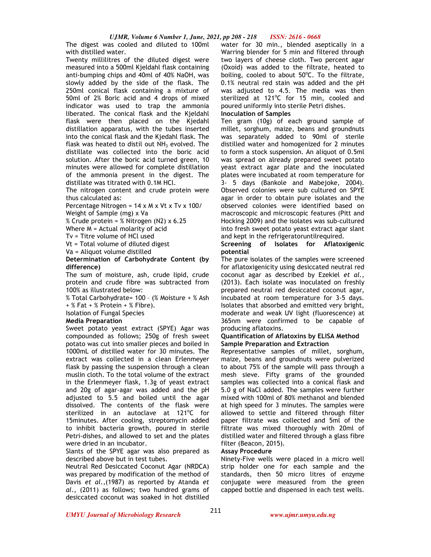The digest was cooled and diluted to 100ml with distilled water.

Twenty millilitres of the diluted digest were measured into a 500ml Kjeldahl flask containing anti-bumping chips and 40ml of 40% NaOH, was slowly added by the side of the flask. The 250ml conical flask containing a mixture of 50ml of 2% Boric acid and 4 drops of mixed indicator was used to trap the ammonia liberated. The conical flask and the Kjeldahl flask were then placed on the Kjedahl distillation apparatus, with the tubes inserted into the conical flask and the Kjedahl flask. The flask was heated to distil out  $NH<sub>3</sub>$  evolved. The distillate was collected into the boric acid solution. After the boric acid turned green, 10 minutes were allowed for complete distillation of the ammonia present in the digest. The distillate was titrated with 0.1M HCl.

The nitrogen content and crude protein were thus calculated as:

Percentage Nitrogen = 14 x M x Vt x Tv x 100/

Weight of Sample (mg) x Va

% Crude protein = % Nitrogen (N2) x 6.25

Where M = Actual molarity of acid

Tv = Titre volume of HCl used

Vt = Total volume of diluted digest

Va = Aliquot volume distilled

**Determination of Carbohydrate Content (by difference)** 

The sum of moisture, ash, crude lipid, crude protein and crude fibre was subtracted from 100% as illustrated below:

% Total Carbohydrate= 100 – (% Moisture + % Ash  $+ %$  Fat  $+ %$  Protein  $+ %$  Fibre).

Isolation of Fungal Species

# **Media Preparation**

Sweet potato yeast extract (SPYE) Agar was compounded as follows; 250g of fresh sweet potato was cut into smaller pieces and boiled in 1000mL of distilled water for 30 minutes. The extract was collected in a clean Erlenmeyer flask by passing the suspension through a clean muslin cloth. To the total volume of the extract in the Erlenmeyer flask, 1.3g of yeast extract and 20g of agar-agar was added and the pH adjusted to 5.5 and boiled until the agar dissolved. The contents of the flask were sterilized in an autoclave at 121°C for 15minutes. After cooling, streptomycin added to inhibit bacteria growth, poured in sterile Petri-dishes, and allowed to set and the plates were dried in an incubator.

Slants of the SPYE agar was also prepared as described above but in test tubes.

Neutral Red Desiccated Coconut Agar (NRDCA) was prepared by modification of the method of Davis *et al.,*(1987) as reported by Atanda *et al.,* (2011) as follows; two hundred grams of desiccated coconut was soaked in hot distilled

water for 30 min., blended aseptically in a Warring blender for 5 min and filtered through two layers of cheese cloth. Two percent agar (Oxoid) was added to the filtrate, heated to boiling, cooled to about  $50^{\circ}$ C. To the filtrate, 0.1% neutral red stain was added and the pH was adjusted to 4.5. The media was then sterilized at 121°C for 15 min, cooled and poured uniformly into sterile Petri dishes.

### **Inoculation of Samples**

Ten gram (10g) of each ground sample of millet, sorghum, maize, beans and groundnuts was separately added to 90ml of sterile distilled water and homogenized for 2 minutes to form a stock suspension. An aliquot of 0.5ml was spread on already prepared sweet potato yeast extract agar plate and the inoculated plates were incubated at room temperature for 3- 5 days (Bankole and Mabejoke, 2004). Observed colonies were sub cultured on SPYE agar in order to obtain pure isolates and the observed colonies were identified based on macroscopic and microscopic features (Pitt and Hocking 2009) and the isolates was sub-cultured into fresh sweet potato yeast extract agar slant and kept in the refrigeratoruntilrequired.

# **Screening of Isolates for Aflatoxigenic potential**

The pure isolates of the samples were screened for aflatoxigenicity using desiccated neutral red coconut agar as described by Ezekiel *et al.,*  (2013). Each isolate was inoculated on freshly prepared neutral red desiccated coconut agar, incubated at room temperature for 3-5 days. Isolates that absorbed and emitted very bright, moderate and weak UV light (fluorescence) at 365nm were confirmed to be capable of producing aflatoxins.

#### **Quantification of Aflatoxins by ELISA Method Sample Preparation and Extraction**

Representative samples of millet, sorghum, maize, beans and groundnuts were pulverized to about 75% of the sample will pass through a mesh sieve. Fifty grams of the grounded samples was collected into a conical flask and 5.0 g of NaCl added. The samples were further mixed with 100ml of 80% methanol and blended at high speed for 3 minutes. The samples were allowed to settle and filtered through filter paper filtrate was collected and 5ml of the filtrate was mixed thoroughly with 20ml of distilled water and filtered through a glass fibre filter (Beacon, 2015).

# **Assay Procedure**

Ninety-Five wells were placed in a micro well strip holder one for each sample and the standards, then 50 micro litres of enzyme conjugate were measured from the green capped bottle and dispensed in each test wells.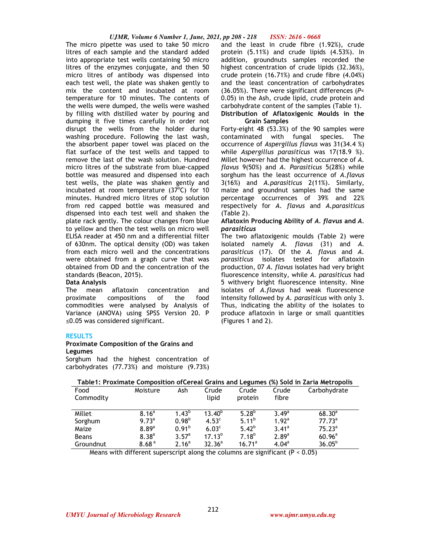# *UJMR, Volume 6 Number 1, June, 2021, pp 208 - 218 ISSN: 2616 - 0668*

The micro pipette was used to take 50 micro litres of each sample and the standard added into appropriate test wells containing 50 micro litres of the enzymes conjugate, and then 50 micro litres of antibody was dispensed into each test well, the plate was shaken gently to mix the content and incubated at room temperature for 10 minutes. The contents of the wells were dumped, the wells were washed by filling with distilled water by pouring and dumping it five times carefully in order not disrupt the wells from the holder during washing procedure. Following the last wash, the absorbent paper towel was placed on the flat surface of the test wells and tapped to remove the last of the wash solution. Hundred micro litres of the substrate from blue-capped bottle was measured and dispensed into each test wells, the plate was shaken gently and incubated at room temperature  $(37^{\circ}C)$  for 10 minutes. Hundred micro litres of stop solution from red capped bottle was measured and dispensed into each test well and shaken the plate rack gently. The colour changes from blue to yellow and then the test wells on micro well ELISA reader at 450 nm and a differential filter of 630nm. The optical density (OD) was taken from each micro well and the concentrations were obtained from a graph curve that was obtained from OD and the concentration of the standards (Beacon, 2015).

# **Data Analysis**

The mean aflatoxin concentration and proximate compositions of the food commodities were analysed by Analysis of Variance (ANOVA) using SPSS Version 20. P ≤0.05 was considered significant.

# **RESULTS**

## **Proximate Composition of the Grains and Legumes**

Sorghum had the highest concentration of carbohydrates (77.73%) and moisture (9.73%)

and the least in crude fibre (1.92%), crude protein (5.11%) and crude lipids (4.53%). In addition, groundnuts samples recorded the highest concentration of crude lipids (32.36%), crude protein (16.71%) and crude fibre (4.04%) and the least concentration of carbohydrates (36.05%). There were significant differences (*P*< 0.05) in the Ash, crude lipid, crude protein and carbohydrate content of the samples (Table 1). **Distribution of Aflatoxigenic Moulds in the** 

# **Grain Samples**

Forty-eight 48 (53.3%) of the 90 samples were contaminated with fungal species. The occurrence of *Aspergillus flavus* was 31(34.4 %) while *Aspergillus parasiticus* was 17(18.9 %). Millet however had the highest occurrence of *A. flavus* 9(50%) and *A. Parasiticus* 5(28%) while sorghum has the least occurrence of *A.flavus*  3(16%) and *A.parasiticus* 2(11%). Similarly, maize and groundnut samples had the same percentage occurrences of 39% and 22% respectively for *A. flavus* and *A.parasiticus* (Table 2).

### **Aflatoxin Producing Ability of** *A. flavus* **and** *A. parasiticus*

The two aflatoxigenic moulds (Table 2) were isolated namely *A. flavus* (31) and *A. parasiticus* (17). Of the *A. flavus* and *A. parasiticus* isolates tested for aflatoxin production, 07 *A. flavus* isolates had very bright fluorescence intensity, while *A. parasiticus* had 5 withvery bright fluorescence intensity. Nine isolates of *A.flavus* had weak fluorescence intensity followed by *A. parasiticus* with only 3. Thus, indicating the ability of the isolates to produce aflatoxin in large or small quantities (Figures 1 and 2).

| Food<br>Commodity | Moisture          | Ash               | Crude<br>lipid    | Crude<br>protein  | Crude<br>fibre    | Carbohydrate       |
|-------------------|-------------------|-------------------|-------------------|-------------------|-------------------|--------------------|
|                   |                   |                   |                   |                   |                   |                    |
| Millet            | 8.16 <sup>a</sup> | $1.43^{b}$        | $13.40^{b}$       | $5.28^{b}$        | $3.49^{\circ}$    | $68.30^{a}$        |
| Sorghum           | 9.73 <sup>a</sup> | 0.98 <sup>b</sup> | 4.53 <sup>c</sup> | $5.11^{b}$        | 1.92 <sup>a</sup> | $77.73^a$          |
| Maize             | 8.89a             | 0.91 <sup>b</sup> | 6.03 <sup>c</sup> | $5.42^{b}$        | $3.41^a$          | $75.23^a$          |
| <b>Beans</b>      | $8.38^{a}$        | $3.57^a$          | $17.13^{b}$       | 7.18 <sup>b</sup> | 2.89 <sup>a</sup> | $60.96^{\text{a}}$ |
| Groundnut         | 8.68 <sup>a</sup> | 2.16 <sup>a</sup> | $32.36^a$         | $16.71^a$         | 4.04 <sup>a</sup> | $36.05^{b}$        |

# **Table1: Proximate Composition ofCereal Grains and Legumes (%) Sold in Zaria Metropolis**

Means with different superscript along the columns are significant (P < 0.05)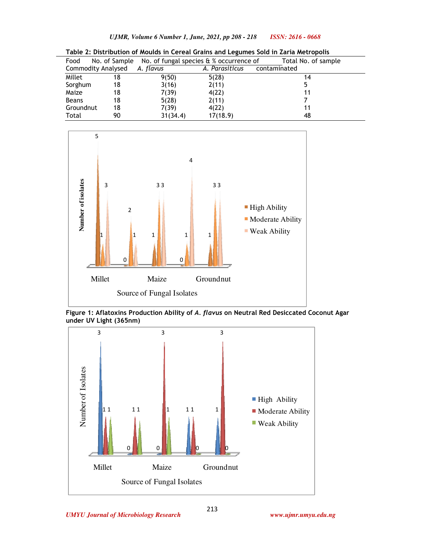|              |                    |           | -                                                            |                     |
|--------------|--------------------|-----------|--------------------------------------------------------------|---------------------|
| Food         |                    |           | No. of Sample No. of fungal species $\theta$ % occurrence of | Total No. of sample |
|              | Commodity Analysed | A. flavus | A. Parasiticus                                               | contaminated        |
| Millet       | 18                 | 9(50)     | 5(28)                                                        | 14                  |
| Sorghum      | 18                 | 3(16)     | 2(11)                                                        | 5                   |
| Maize        | 18                 | 7(39)     | 4(22)                                                        | 11                  |
| <b>Beans</b> | 18                 | 5(28)     | 2(11)                                                        |                     |
| Groundnut    | 18                 | 7(39)     | 4(22)                                                        | 11                  |
| Total        | 90                 | 31(34.4)  | 17(18.9)                                                     | 48                  |

**Table 2: Distribution of Moulds in Cereal Grains and Legumes Sold in Zaria Metropolis** 



**Figure 1: Aflatoxins Production Ability of** *A. flavus* **on Neutral Red Desiccated Coconut Agar under UV Light (365nm)** 

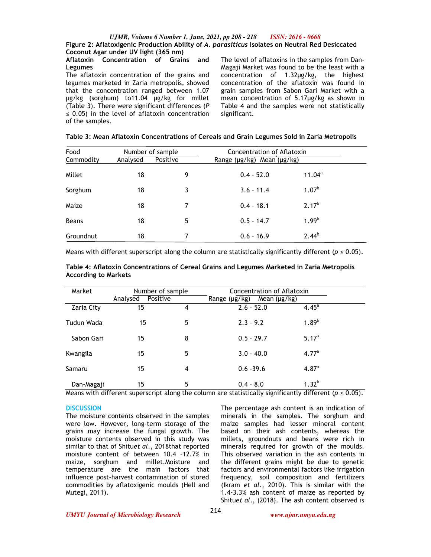# **Coconut Agar under UV light (365 nm)**

## **Aflatoxin Concentration of Grains and Legumes**

The aflatoxin concentration of the grains and legumes marketed in Zaria metropolis, showed that the concentration ranged between 1.07 µg/kg (sorghum) to11.04 µg/kg for millet (Table 3). There were significant differences (*P*   $\leq$  0.05) in the level of aflatoxin concentration of the samples.

The level of aflatoxins in the samples from Dan-Magaji Market was found to be the least with a concentration of 1.32µg/kg, the highest concentration of the aflatoxin was found in grain samples from Sabon Gari Market with a mean concentration of 5.17µg/kg as shown in Table 4 and the samples were not statistically significant.

| Food<br>Number of sample |          |          | Concentration of Aflatoxin             |                   |  |
|--------------------------|----------|----------|----------------------------------------|-------------------|--|
| Commodity                | Analysed | Positive | Range ( $\mu$ g/kg) Mean ( $\mu$ g/kg) |                   |  |
| Millet                   | 18       | 9        | $0.4 - 52.0$                           | $11.04^a$         |  |
| Sorghum                  | 18       | 3        | $3.6 - 11.4$                           | 1.07 <sup>b</sup> |  |
| Maize                    | 18       | 7        | $0.4 - 18.1$                           | $2.17^{b}$        |  |
| <b>Beans</b>             | 18       | 5        | $0.5 - 14.7$                           | 1.99 <sup>b</sup> |  |
| Groundnut                | 18       | 7        | $0.6 - 16.9$                           | $2.44^{b}$        |  |

Means with different superscript along the column are statistically significantly different ( $p \le 0.05$ ).

**Table 4: Aflatoxin Concentrations of Cereal Grains and Legumes Marketed in Zaria Metropolis According to Markets** 

| Market     | Number of sample<br>Positive<br>Analysed |   | Concentration of Aflatoxin<br>Range $(\mu g/kg)$<br>Mean $(\mu g/kg)$ |                   |  |
|------------|------------------------------------------|---|-----------------------------------------------------------------------|-------------------|--|
| Zaria City | 15                                       | 4 | $2.6 - 52.0$                                                          | $4.45^{\circ}$    |  |
| Tudun Wada | 15                                       | 5 | $2.3 - 9.2$                                                           | $1.89^{b}$        |  |
| Sabon Gari | 15                                       | 8 | $0.5 - 29.7$                                                          | 5.17 <sup>a</sup> |  |
| Kwangila   | 15                                       | 5 | $3.0 - 40.0$                                                          | 4.77 <sup>a</sup> |  |
| Samaru     | 15                                       | 4 | $0.6 - 39.6$                                                          | 4.87 <sup>a</sup> |  |
| Dan-Magaji | 15                                       | 5 | $0.4 - 8.0$                                                           | $1.32^{b}$        |  |

Means with different superscript along the column are statistically significantly different ( $p \le 0.05$ ).

# **DISCUSSION**

The moisture contents observed in the samples were low. However, long-term storage of the grains may increase the fungal growth. The moisture contents observed in this study was similar to that of Shitu*et al*., 2018that reported moisture content of between 10.4 –12.7% in maize, sorghum and millet.Moisture and temperature are the main factors that influence post-harvest contamination of stored commodities by aflatoxigenic moulds (Hell and Mutegi, 2011).

The percentage ash content is an indication of minerals in the samples. The sorghum and maize samples had lesser mineral content based on their ash contents, whereas the millets, groundnuts and beans were rich in minerals required for growth of the moulds. This observed variation in the ash contents in the different grains might be due to genetic factors and environmental factors like irrigation frequency, soil composition and fertilizers (Ikram *et al.,* 2010). This is similar with the 1.4-3.3% ash content of maize as reported by Shitu*et al*., (2018). The ash content observed is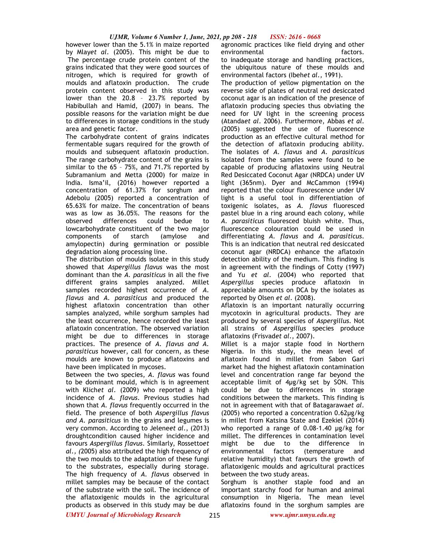however lower than the 5.1% in maize reported by Mlay*et al*. (2005). This might be due to The percentage crude protein content of the grains indicated that they were good sources of nitrogen, which is required for growth of moulds and aflatoxin production. The crude protein content observed in this study was lower than the 20.8 – 23.7% reported by Habibullah and Hamid, (2007) in beans. The possible reasons for the variation might be due to differences in storage conditions in the study area and genetic factor.

The carbohydrate content of grains indicates fermentable sugars required for the growth of moulds and subsequent aflatoxin production. The range carbohydrate content of the grains is similar to the 65 – 75%, and 71.7% reported by Subramanium and Metta (2000) for maize in India. Isma'il, (2016) however reported a concentration of 61.37% for sorghum and Adebolu (2005) reported a concentration of 65.63% for maize. The concentration of beans was as low as 36.05%. The reasons for the observed differences could bedue to lowcarbohydrate constituent of the two major<br>components of starch (amylose and components of starch (amylose and amylopectin) during germination or possible degradation along processing line.

The distribution of moulds isolate in this study showed that *Aspergillus flavus* was the most dominant than the *A. parasiticus* in all the five different grains samples analyzed. Millet samples recorded highest occurrence of *A. flavus* and *A. parasiticus* and produced the highest aflatoxin concentration than other samples analyzed, while sorghum samples had the least occurrence, hence recorded the least aflatoxin concentration. The observed variation might be due to differences in storage practices. The presence of *A. flavus and A. parasiticus* however, call for concern, as these moulds are known to produce aflatoxins and have been implicated in mycoses.

Between the two species, *A. flavus* was found to be dominant mould, which is in agreement with Klich*et al*. (2009) who reported a high incidence of *A. flavus*. Previous studies had shown that *A. flavus* frequently occurred in the field. The presence of both *Aspergillus flavus and A. parasiticus* in the grains and legumes is very common. According to Jelene*et al*., (2013) droughtcondition caused higher incidence and favours *Aspergillus flavus*. Similarly, Rossetto*et al., (*2005) also attributed the high frequency of the two moulds to the adaptation of these fungi to the substrates, especially during storage. The high frequency of *A. flavus* observed in millet samples may be because of the contact of the substrate with the soil. The incidence of the aflatoxigenic moulds in the agricultural products as observed in this study may be due

agronomic practices like field drying and other environmental environmental factors. to inadequate storage and handling practices,

the ubiquitous nature of these moulds and environmental factors (Ibeh*et al.,* 1991).

The production of yellow pigmentation on the reverse side of plates of neutral red desiccated coconut agar is an indication of the presence of aflatoxin producing species thus obviating the need for UV light in the screening process (Atanda*et al*. 2006). Furthermore, Abbas *et al*. (2005) suggested the use of fluorescence production as an effective cultural method for the detection of aflatoxin producing ability. The isolates of *A. flavus* and *A. parasiticus* isolated from the samples were found to be capable of producing aflatoxins using Neutral Red Desiccated Coconut Agar (NRDCA) under UV light (365nm). Dyer and McCammon (1994) reported that the colour fluorescence under UV light is a useful tool in differentiation of toxigenic isolates, as *A. flavus* fluoresced pastel blue in a ring around each colony, while *A. parasiticus* fluoresced bluish white. Thus, fluorescence colouration could be used in differentiating *A. flavus* and *A. parasiticus*. This is an indication that neutral red desiccated coconut agar (NRDCA) enhance the aflatoxin detection ability of the medium. This finding is in agreement with the findings of Cotty (1997) and Yu *et al*. (2004) who reported that *Aspergillus* species produce aflatoxin in appreciable amounts on DCA by the isolates as reported by Olsen *et al*. (2008).

Aflatoxin is an important naturally occurring mycotoxin in agricultural products. They are produced by several species of *Aspergillus.* Not all strains of *Aspergillus* species produce aflatoxins (Frisvad*et al*., 2007).

Millet is a major staple food in Northern Nigeria. In this study, the mean level of aflatoxin found in millet from Sabon Gari market had the highest aflatoxin contamination level and concentration range far beyond the acceptable limit of 4µg/kg set by SON. This could be due to differences in storage conditions between the markets. This finding is not in agreement with that of Batagarawa*et al*. (2005) who reported a concentration 0.62µg/kg in millet from Katsina State and Ezekiel (2014) who reported a range of 0.08-1.40 µg/kg for millet. The differences in contamination level might be due to the difference in environmental factors (temperature and relative humidity) that favours the growth of aflatoxigenic moulds and agricultural practices between the two study areas.

Sorghum is another staple food and an important starchy food for human and animal consumption in Nigeria. The mean level aflatoxins found in the sorghum samples are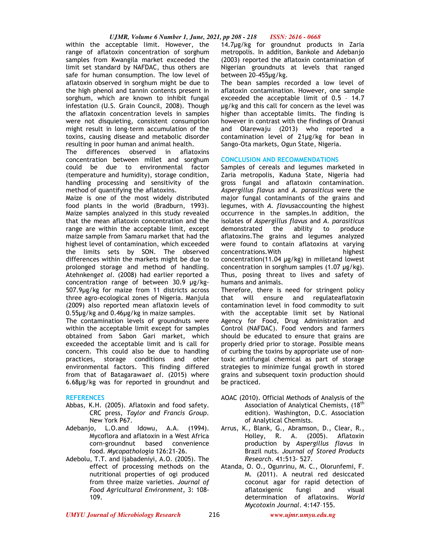within the acceptable limit. However, the range of aflatoxin concentration of sorghum samples from Kwangila market exceeded the limit set standard by NAFDAC, thus others are safe for human consumption. The low level of aflatoxin observed in sorghum might be due to the high phenol and tannin contents present in sorghum, which are known to inhibit fungal infestation (U.S. Grain Council, 2008). Though the aflatoxin concentration levels in samples were not disquieting, consistent consumption might result in long-term accumulation of the toxins, causing disease and metabolic disorder resulting in poor human and animal health.

The differences observed in aflatoxins concentration between millet and sorghum could be due to environmental factor (temperature and humidity), storage condition, handling processing and sensitivity of the method of quantifying the aflatoxins.

Maize is one of the most widely distributed food plants in the world (Bradburn, 1993). Maize samples analyzed in this study revealed that the mean aflatoxin concentration and the range are within the acceptable limit, except maize sample from Samaru market that had the highest level of contamination, which exceeded the limits sets by SON. The observed differences within the markets might be due to prolonged storage and method of handling. Atehnkeng*et al*. (2008) had earlier reported a concentration range of between 30.9 µg/kg-507.9µg/kg for maize from 11 districts across three agro-ecological zones of Nigeria. Manjula (2009) also reported mean aflatoxin levels of 0.55µg/kg and 0.46µg/kg in maize samples.

The contamination levels of groundnuts were within the acceptable limit except for samples obtained from Sabon Gari market, which exceeded the acceptable limit and is call for concern. This could also be due to handling practices, storage conditions and other environmental factors. This finding differed from that of Batagarawa*et al*. (2015) where 6.68µg/kg was for reported in groundnut and

# **REFERENCES**

- Abbas, K.H. (2005). Aflatoxin and food safety. CRC press, *Taylor and Francis Group*. New York P67.
- Adebanjo, L.O.and Idowu, A.A. (1994). Mycoflora and aflatoxin in a West Africa corn-groundnut based convenience food. *Mycopathologia* 126:21-26.
- Adebolu, T.T. and Ijabadeniyi, A.O. (2005). The effect of processing methods on the nutritional properties of ogi produced from three maize varieties. *Journal of Food Agricultural Environment,* 3: 108- 109.

14.7µg/kg for groundnut products in Zaria metropolis. In addition, Bankole and Adebanjo (2003) reported the aflatoxin contamination of Nigerian groundnuts at levels that ranged between 20-455µg/kg.

The bean samples recorded a low level of aflatoxin contamination. However, one sample exceeded the acceptable limit of 0.5 – 14.7 µg/kg and this call for concern as the level was higher than acceptable limits. The finding is however in contrast with the findings of Oranusi and Olarewaju (2013) who reported a contamination level of 21µg/kg for bean in Sango-Ota markets, Ogun State, Nigeria.

# **CONCLUSION AND RECOMMENDATIONS**

Samples of cereals and legumes marketed in Zaria metropolis, Kaduna State, Nigeria had gross fungal and aflatoxin contamination. *Aspergillus flavus* and *A. parasiticus* were the major fungal contaminants of the grains and legumes, with *A. flavus*accounting the highest occurrence in the samples.In addition, the isolates of *Aspergillus flavus* and *A. parasiticus* demonstrated the ability to produce aflatoxins.The grains and legumes analyzed were found to contain aflatoxins at varying concentrations.With highest concentration(11.04 µg/kg) in milletand lowest concentration in sorghum samples (1.07 µg/kg). Thus, posing threat to lives and safety of humans and animals.

Therefore, there is need for stringent policy that will ensure and regulateaflatoxin contamination level in food commodity to suit with the acceptable limit set by National Agency for Food, Drug Administration and Control (NAFDAC). Food vendors and farmers should be educated to ensure that grains are properly dried prior to storage. Possible means of curbing the toxins by appropriate use of nontoxic antifungal chemical as part of storage strategies to minimize fungal growth in stored grains and subsequent toxin production should be practiced.

- AOAC (2010). Official Methods of Analysis of the Association of Analytical Chemists, (18<sup>th</sup>) edition). Washington, D.C. Association of Analytical Chemists.
- Arrus, K., Blank, G., Abramson, D., Clear, R., Holley, R. A. (2005). Aflatoxin production by *Aspergillus flavus* in Brazil nuts. *Journal of Stored Products Research*. 41:513- 527.
- Atanda, O. O., Ogunrinu, M. C., Olorunfemi, F. M. (2011). A neutral red desiccated coconut agar for rapid detection of aflatoxigenic fungi and visual determination of aflatoxins. *World Mycotoxin Journal*. 4:147–155.

*UMYU Journal of Microbiology Research www.ujmr.umyu.edu.ng*

216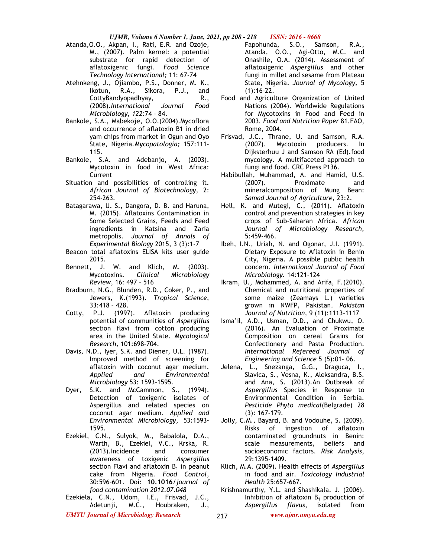Atanda,O.O., Akpan, I., Rati, E.R. and Ozoje, M., (2007). Palm kernel: a potential substrate for rapid detection of aflatoxigenic fungi. *Food Science Technology International;* 11: 67-74

Atehnkeng, J., Ojiambo, P.S., Donner, M. K., Ikotun, R.A., Sikora, P.J., and CottyBandyopadhyay, R., (2008).*International Journal Food Microbiology*, *122*:74 – 84.

- Bankole, S.A., Mabekoje, O.O.(2004).Mycoflora and occurrence of aflatoxin B1 in dried yam chips from market in Ogun and Oyo State, Nigeria*.Mycopatologia;* 157:111- 115.
- Bankole, S.A. and Adebanjo, A. (2003). Mycotoxin in food in West Africa: Current
- Situation and possibilities of controlling it. *African Journal of Biotechnology,* 2: 254-263.
- Batagarawa, U. S., Dangora, D. B. and Haruna, M. (2015). Aflatoxins Contamination in Some Selected Grains, Feeds and Feed ingredients in Katsina and Zaria metropolis. *Journal of Annals of Experimental Biology* 2015, 3 (3):1-7
- Beacon total aflatoxins ELISA kits user guide 2015.
- Bennett, J. W. and Klich, M. (2003). Mycotoxins. *Clinical Microbiology Review*, 16: 497 – 516
- Bradburn, N.G., Blunden, R.D., Coker, P., and Jewers, K.(1993). *Tropical Science*, 33:418 – 428.
- Cotty, P.J. (1997). Aflatoxin producing potential of communities of *Aspergillus* section flavi from cotton producing area in the United State. *Mycological Research,* 101:698-704.
- Davis, N.D., Iyer, S.K. and Diener, U.L. (1987). Improved method of screening for aflatoxin with coconut agar medium. *Applied and Environmental Microbiology* 53: 1593-1595.
- Dyer, S.K. and McCammon, S., (1994). Detection of toxigenic isolates of Aspergillus and related species on coconut agar medium. *Applied and Environmental Microbiology*, 53:1593- 1595.
- Ezekiel, C.N., Sulyok, M., Babalola, D.A., Warth, B., Ezekiel, V.C., Krska, R. (2013).Incidence and consumer awareness of toxigenic *Aspergillus* section Flavi and aflatoxin  $B_1$  in peanut cake from Nigeria. *Food Control,* 30:596–601. Doi: **10.1016**/*journal of food contamination 2012.07.048*
- Ezekiela, C.N., Udom, I.E., Frisvad, J.C., Adetunji, M.C., Houbraken, J.,

Fapohunda, S.O., Samson, R.A., Atanda, O.O., Agi-Otto, M.C. and Onashile, O.A. (2014). Assessment of aflatoxigenic *Aspergillus* and other fungi in millet and sesame from Plateau State, Nigeria. *Journal of Mycology,* 5  $(1):16-22.$ 

- Food and Agriculture Organization of United Nations (2004). Worldwide Regulations for Mycotoxins in Food and Feed in 2003*. Food and Nutrition Paper* 81.FAO, Rome, 2004.
- Frisvad, J.C., Thrane, U. and Samson, R.A. (2007). Mycotoxin producers. In Dijksterhuu J and Samson RA (Ed).food mycology. A multifaceted approach to fungi and food. CRC Press P136.
- Habibullah, Muhammad, A. and Hamid, U.S. (2007). Proximate and mineralcomposition of Mung Bean: *Samad Journal of Agriculture,* 23:2.
- Hell, K. and Mutegi, C., (2011). Aflatoxin control and prevention strategies in key crops of Sub-Saharan Africa. *African Journal of Microbiology Research,*  5:459-466.
- Ibeh, I.N., Uriah, N. and Ogonar, J.I. (1991). Dietary Exposure to Aflatoxin in Benin City, Nigeria. A possible public health concern. *International Journal of Food Microbiology.* 14:121-124
- Ikram, U., Mohammed, A. and Arifa, F.(2010). Chemical and nutritional properties of some maize (Zeamays L.) varieties grown in NWFP, Pakistan. *Pakistan Journal of Nutrition,* 9 (11):1113-1117
- Isma'il, A.D., Usman, D.D., and Chukwu, O. (2016). An Evaluation of Proximate Composition on cereal Grains for Confectionery and Pasta Production. *International Refereed Journal of Engineering and Science* 5 (5):01- 06.
- Jelena, L., Snezanga, G.G., Draguca, I., Slavica, S., Vesna, K., Aleksandra, B.S. and Ana, S. (2013).An Outbreak of *Aspergillus* Species in Response to Environmental Condition in Serbia. *Pesticide Phyto medical*(Belgrade) 28 (3): 167-179.
- Jolly, C.M., Bayard, B. and Vodouhe, S. (2009). Risks of ingestion of aflatoxin contaminated groundnuts in Benin: scale measurements, beliefs and socioeconomic factors. *Risk Analysis*, 29:1395-1409.
- Klich, M.A. (2009). Health effects of *Aspergillus*  in food and air. *Toxicology Industrial Health* 25:657-667.
- Krishnamurthy, Y.L. and Shashikala. J. (2006). Inhibition of aflatoxin  $B_1$  production of *Aspergillus flavus*, isolated from